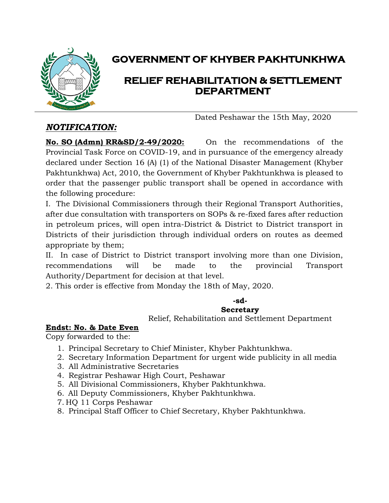

## **GOVERNMENT OF KHYBER PAKHTUNKHWA**

## **RELIEF REHABILITATION & SETTLEMENT DEPARTMENT**

Dated Peshawar the 15th May, 2020

### *NOTIFICATION:*

**No. SO (Admn) RR&SD/2-49/2020:** On the recommendations of the Provincial Task Force on COVID-19, and in pursuance of the emergency already declared under Section 16 (A) (1) of the National Disaster Management (Khyber Pakhtunkhwa) Act, 2010, the Government of Khyber Pakhtunkhwa is pleased to order that the passenger public transport shall be opened in accordance with the following procedure:

I. The Divisional Commissioners through their Regional Transport Authorities, after due consultation with transporters on SOPs & re-fixed fares after reduction in petroleum prices, will open intra-District & District to District transport in Districts of their jurisdiction through individual orders on routes as deemed appropriate by them;

II. In case of District to District transport involving more than one Division, recommendations will be made to the provincial Transport Authority/Department for decision at that level.

2. This order is effective from Monday the 18th of May, 2020.

# **-sd-**

### **Secretary**

Relief, Rehabilitation and Settlement Department

### **Endst: No. & Date Even**

Copy forwarded to the:

- 1. Principal Secretary to Chief Minister, Khyber Pakhtunkhwa.
- 2. Secretary Information Department for urgent wide publicity in all media
- 3. All Administrative Secretaries
- 4. Registrar Peshawar High Court, Peshawar
- 5. All Divisional Commissioners, Khyber Pakhtunkhwa.
- 6. All Deputy Commissioners, Khyber Pakhtunkhwa.
- 7. HQ 11 Corps Peshawar
- 8. Principal Staff Officer to Chief Secretary, Khyber Pakhtunkhwa.